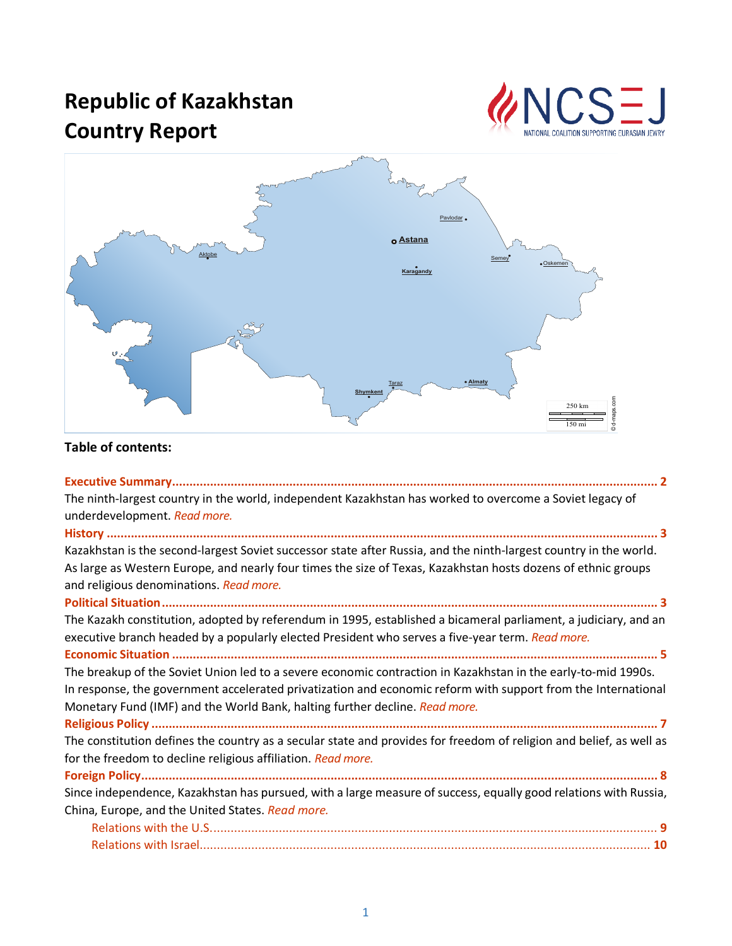# **Republic of Kazakhstan Country Report**





# **Table of contents:**

| The ninth-largest country in the world, independent Kazakhstan has worked to overcome a Soviet legacy of            |
|---------------------------------------------------------------------------------------------------------------------|
| underdevelopment. Read more.                                                                                        |
|                                                                                                                     |
| Kazakhstan is the second-largest Soviet successor state after Russia, and the ninth-largest country in the world.   |
| As large as Western Europe, and nearly four times the size of Texas, Kazakhstan hosts dozens of ethnic groups       |
| and religious denominations. Read more.                                                                             |
|                                                                                                                     |
| The Kazakh constitution, adopted by referendum in 1995, established a bicameral parliament, a judiciary, and an     |
| executive branch headed by a popularly elected President who serves a five-year term. Read more.                    |
|                                                                                                                     |
| The breakup of the Soviet Union led to a severe economic contraction in Kazakhstan in the early-to-mid 1990s.       |
| In response, the government accelerated privatization and economic reform with support from the International       |
| Monetary Fund (IMF) and the World Bank, halting further decline. Read more.                                         |
|                                                                                                                     |
| The constitution defines the country as a secular state and provides for freedom of religion and belief, as well as |
| for the freedom to decline religious affiliation. Read more.                                                        |
|                                                                                                                     |
| Since independence, Kazakhstan has pursued, with a large measure of success, equally good relations with Russia,    |
| China, Europe, and the United States. Read more.                                                                    |
|                                                                                                                     |
|                                                                                                                     |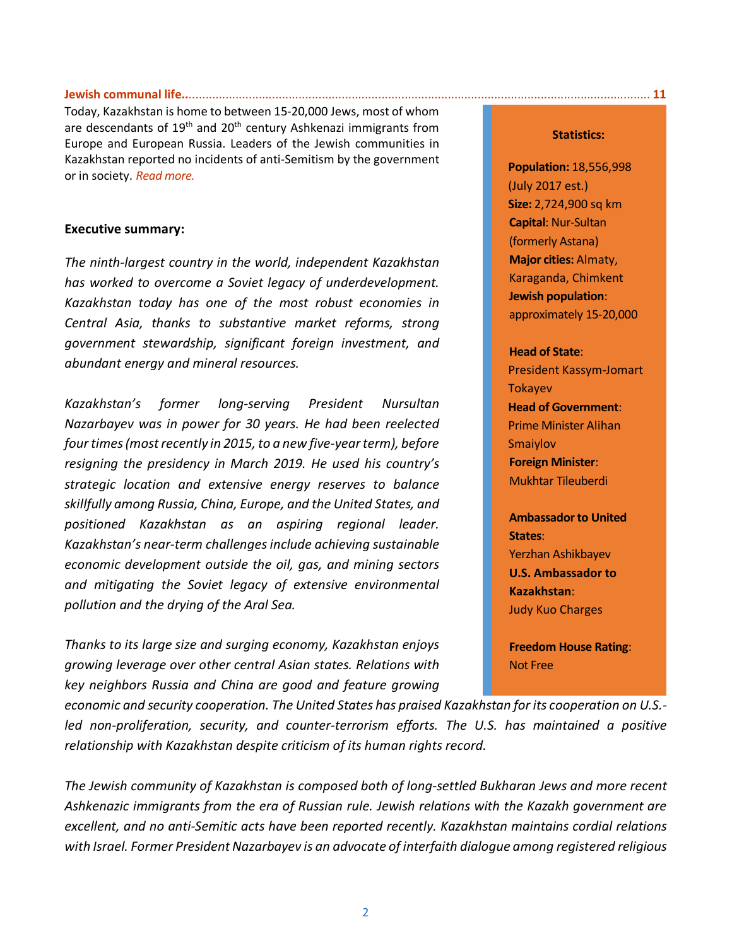#### **Jewish communal life..**[...........................................................................................................................................](#page-11-0) **11**

Today, Kazakhstan is home to between 15-20,000 Jews, most of whom are descendants of  $19<sup>th</sup>$  and  $20<sup>th</sup>$  century Ashkenazi immigrants from Europe and European Russia. Leaders of the Jewish communities in Kazakhstan reported no incidents of anti-Semitism by the government or in society. *[Read more.](#page-11-0)*

#### <span id="page-1-0"></span>**Executive summary:**

*The ninth-largest country in the world, independent Kazakhstan has worked to overcome a Soviet legacy of underdevelopment. Kazakhstan today has one of the most robust economies in Central Asia, thanks to substantive market reforms, strong government stewardship, significant foreign investment, and abundant energy and mineral resources.*

*Kazakhstan's former long-serving President Nursultan Nazarbayev was in power for 30 years. He had been reelected four times (most recently in 2015, to a new five-year term), before resigning the presidency in March 2019. He used his country's strategic location and extensive energy reserves to balance skillfully among Russia, China, Europe, and the United States, and positioned Kazakhstan as an aspiring regional leader. Kazakhstan's near-term challenges include achieving sustainable economic development outside the oil, gas, and mining sectors and mitigating the Soviet legacy of extensive environmental pollution and the drying of the Aral Sea.*

*Thanks to its large size and surging economy, Kazakhstan enjoys growing leverage over other central Asian states. Relations with key neighbors Russia and China are good and feature growing* 

*economic and security cooperation. The United States has praised Kazakhstan for its cooperation on U.S.* led non-proliferation, security, and counter-terrorism efforts. The U.S. has maintained a positive *relationship with Kazakhstan despite criticism of its human rights record.*

*The Jewish community of Kazakhstan is composed both of long-settled Bukharan Jews and more recent Ashkenazic immigrants from the era of Russian rule. Jewish relations with the Kazakh government are excellent, and no anti-Semitic acts have been reported recently. Kazakhstan maintains cordial relations with Israel. Former President Nazarbayev is an advocate of interfaith dialogue among registered religious* 

#### **Statistics:**

**Population:** 18,556,998 (July 2017 est.) **Size:** 2,724,900 sq km **Capital**: Nur-Sultan (formerly Astana) **Major cities:** Almaty, Karaganda, Chimkent **Jewish population**: approximately 15-20,000

#### **Head of State**:

President Kassym-Jomart Tokayev **Head of Government**: Prime Minister Alihan Smaiylov **Foreign Minister**: Mukhtar Tileuberdi

**Ambassador to United States**: Yerzhan Ashikbayev **U.S. Ambassador to Kazakhstan**: Judy Kuo Charges

**Freedom House Rating**: Not Free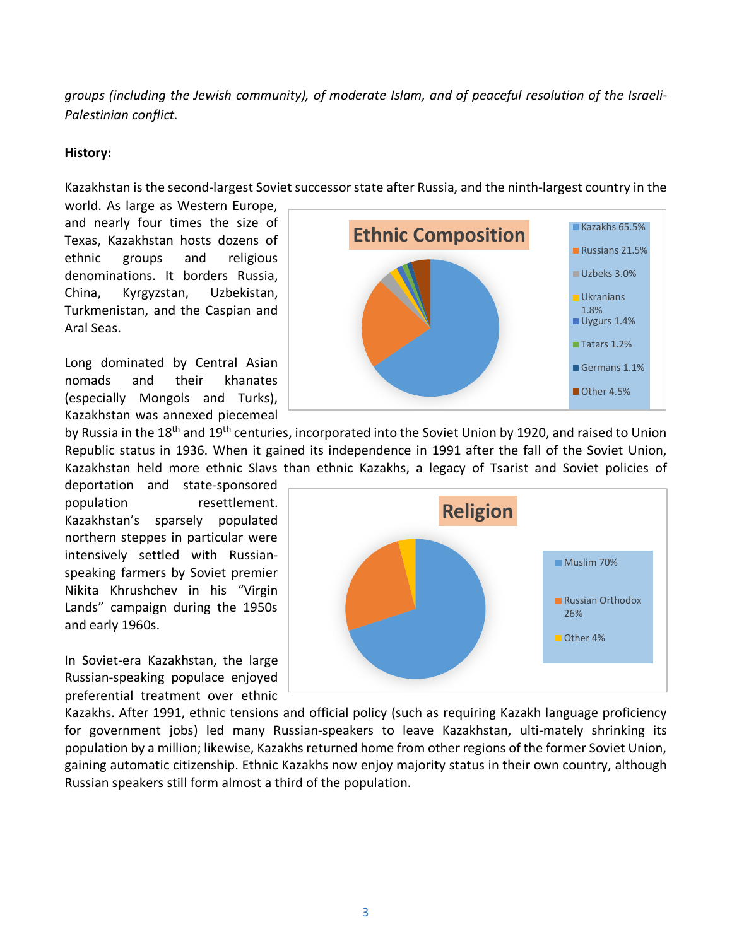*groups (including the Jewish community), of moderate Islam, and of peaceful resolution of the Israeli-Palestinian conflict.*

#### <span id="page-2-0"></span>**History:**

Kazakhstan is the second-largest Soviet successor state after Russia, and the ninth-largest country in the

world. As large as Western Europe, and nearly four times the size of Texas, Kazakhstan hosts dozens of ethnic groups and religious denominations. It borders Russia, China, Kyrgyzstan, Uzbekistan, Turkmenistan, and the Caspian and Aral Seas.

Long dominated by Central Asian nomads and their khanates (especially Mongols and Turks), Kazakhstan was annexed piecemeal

by Russia in the 18<sup>th</sup> and 19<sup>th</sup> centuries, incorporated into the Soviet Union by 1920, and raised to Union Tatars 1.2% Germans 1.1% Other 4.5%

Republic status in 1936. When it gained its independence in 1991 after the fall of the Soviet Union, Kazakhstan held more ethnic Slavs than ethnic Kazakhs, a legacy of Tsarist and Soviet policies of

deportation and state-sponsored population resettlement. Kazakhstan's sparsely populated northern steppes in particular were intensively settled with Russianspeaking farmers by Soviet premier Nikita Khrushchev in his "Virgin Lands" campaign during the 1950s and early 1960s.

In Soviet-era Kazakhstan, the large Russian-speaking populace enjoyed preferential treatment over ethnic



**Ethnic Composition** 

Russians 21.5%

Uzbeks 3.0%

Ukranians 1.8% Uygurs 1.4%

Kazakhs. After 1991, ethnic tensions and official policy (such as requiring Kazakh language proficiency for government jobs) led many Russian-speakers to leave Kazakhstan, ulti-mately shrinking its population by a million; likewise, Kazakhs returned home from other regions of the former Soviet Union, gaining automatic citizenship. Ethnic Kazakhs now enjoy majority status in their own country, although Russian speakers still form almost a third of the population.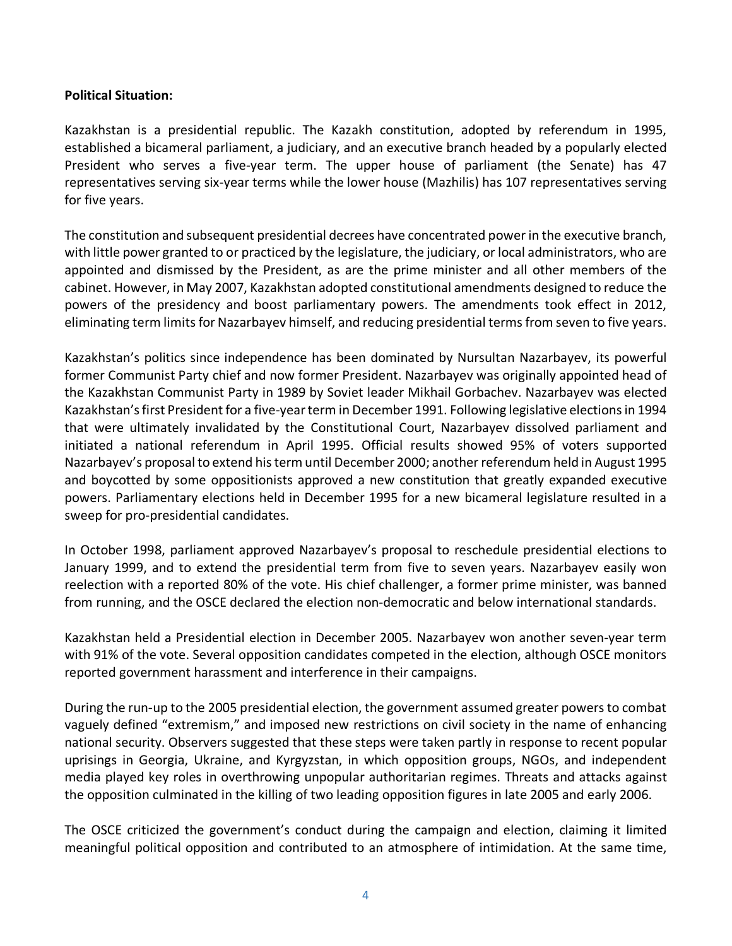#### <span id="page-3-0"></span>**Political Situation:**

Kazakhstan is a presidential republic. The Kazakh constitution, adopted by referendum in 1995, established a bicameral parliament, a judiciary, and an executive branch headed by a popularly elected President who serves a five-year term. The upper house of parliament (the Senate) has 47 representatives serving six-year terms while the lower house (Mazhilis) has 107 representatives serving for five years.

The constitution and subsequent presidential decrees have concentrated power in the executive branch, with little power granted to or practiced by the legislature, the judiciary, or local administrators, who are appointed and dismissed by the President, as are the prime minister and all other members of the cabinet. However, in May 2007, Kazakhstan adopted constitutional amendments designed to reduce the powers of the presidency and boost parliamentary powers. The amendments took effect in 2012, eliminating term limits for Nazarbayev himself, and reducing presidential terms from seven to five years.

Kazakhstan's politics since independence has been dominated by Nursultan Nazarbayev, its powerful former Communist Party chief and now former President. Nazarbayev was originally appointed head of the Kazakhstan Communist Party in 1989 by Soviet leader Mikhail Gorbachev. Nazarbayev was elected Kazakhstan's first President for a five-year term in December 1991. Following legislative elections in 1994 that were ultimately invalidated by the Constitutional Court, Nazarbayev dissolved parliament and initiated a national referendum in April 1995. Official results showed 95% of voters supported Nazarbayev's proposal to extend his term until December 2000; another referendum held in August 1995 and boycotted by some oppositionists approved a new constitution that greatly expanded executive powers. Parliamentary elections held in December 1995 for a new bicameral legislature resulted in a sweep for pro-presidential candidates.

In October 1998, parliament approved Nazarbayev's proposal to reschedule presidential elections to January 1999, and to extend the presidential term from five to seven years. Nazarbayev easily won reelection with a reported 80% of the vote. His chief challenger, a former prime minister, was banned from running, and the OSCE declared the election non-democratic and below international standards.

Kazakhstan held a Presidential election in December 2005. Nazarbayev won another seven-year term with 91% of the vote. Several opposition candidates competed in the election, although OSCE monitors reported government harassment and interference in their campaigns.

During the run-up to the 2005 presidential election, the government assumed greater powers to combat vaguely defined "extremism," and imposed new restrictions on civil society in the name of enhancing national security. Observers suggested that these steps were taken partly in response to recent popular uprisings in Georgia, Ukraine, and Kyrgyzstan, in which opposition groups, NGOs, and independent media played key roles in overthrowing unpopular authoritarian regimes. Threats and attacks against the opposition culminated in the killing of two leading opposition figures in late 2005 and early 2006.

The OSCE criticized the government's conduct during the campaign and election, claiming it limited meaningful political opposition and contributed to an atmosphere of intimidation. At the same time,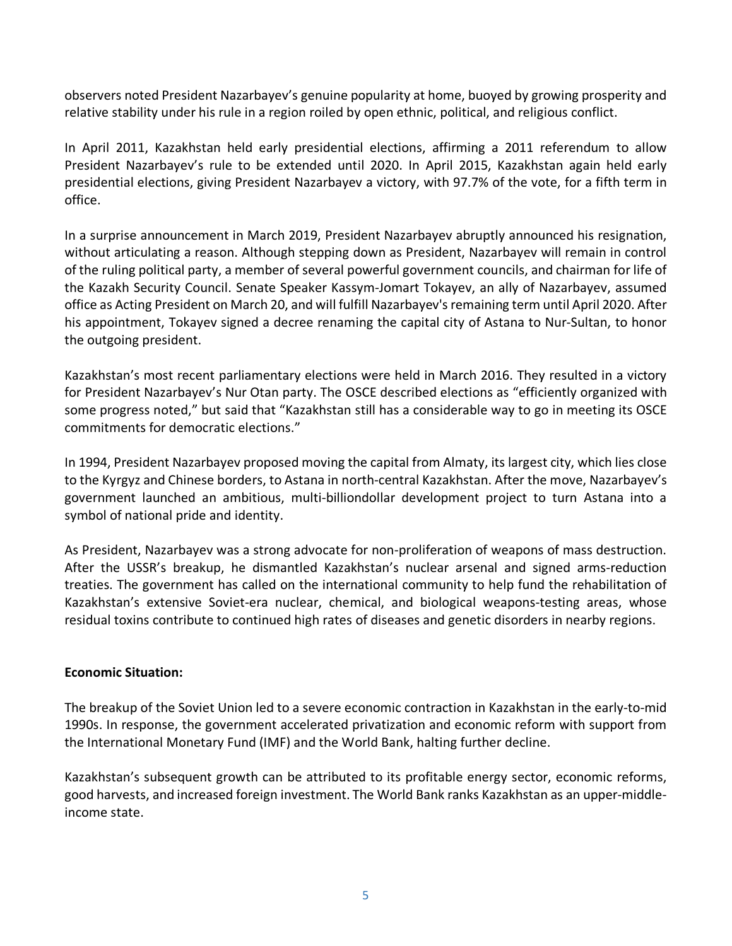observers noted President Nazarbayev's genuine popularity at home, buoyed by growing prosperity and relative stability under his rule in a region roiled by open ethnic, political, and religious conflict.

In April 2011, Kazakhstan held early presidential elections, affirming a 2011 referendum to allow President Nazarbayev's rule to be extended until 2020. In April 2015, Kazakhstan again held early presidential elections, giving President Nazarbayev a victory, with 97.7% of the vote, for a fifth term in office.

In a surprise announcement in March 2019, President Nazarbayev abruptly announced his resignation, without articulating a reason. Although stepping down as President, Nazarbayev will remain in control of the ruling political party, a member of several powerful government councils, and chairman for life of the Kazakh Security Council. Senate Speaker Kassym-Jomart Tokayev, an ally of Nazarbayev, assumed office as Acting President on March 20, and will fulfill Nazarbayev's remaining term until April 2020. After his appointment, Tokayev signed a decree renaming the capital city of Astana to Nur-Sultan, to honor the outgoing president.

Kazakhstan's most recent parliamentary elections were held in March 2016. They resulted in a victory for President Nazarbayev's Nur Otan party. The OSCE described elections as "efficiently organized with some progress noted," but said that "Kazakhstan still has a considerable way to go in meeting its OSCE commitments for democratic elections."

In 1994, President Nazarbayev proposed moving the capital from Almaty, its largest city, which lies close to the Kyrgyz and Chinese borders, to Astana in north-central Kazakhstan. After the move, Nazarbayev's government launched an ambitious, multi-billiondollar development project to turn Astana into a symbol of national pride and identity.

As President, Nazarbayev was a strong advocate for non-proliferation of weapons of mass destruction. After the USSR's breakup, he dismantled Kazakhstan's nuclear arsenal and signed arms-reduction treaties. The government has called on the international community to help fund the rehabilitation of Kazakhstan's extensive Soviet-era nuclear, chemical, and biological weapons-testing areas, whose residual toxins contribute to continued high rates of diseases and genetic disorders in nearby regions.

## **Economic Situation:**

The breakup of the Soviet Union led to a severe economic contraction in Kazakhstan in the early-to-mid 1990s. In response, the government accelerated privatization and economic reform with support from the International Monetary Fund (IMF) and the World Bank, halting further decline.

Kazakhstan's subsequent growth can be attributed to its profitable energy sector, economic reforms, good harvests, and increased foreign investment. The World Bank ranks Kazakhstan as an upper-middleincome state.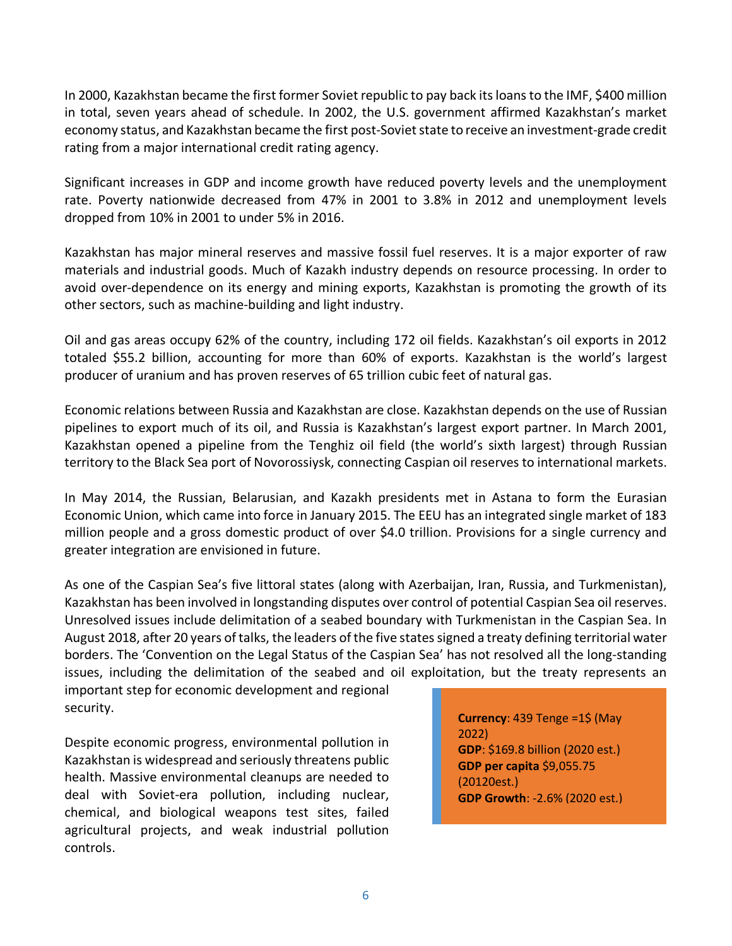In 2000, Kazakhstan became the first former Soviet republic to pay back its loans to the IMF, \$400 million in total, seven years ahead of schedule. In 2002, the U.S. government affirmed Kazakhstan's market economy status, and Kazakhstan became the first post-Soviet state to receive an investment-grade credit rating from a major international credit rating agency.

Significant increases in GDP and income growth have reduced poverty levels and the unemployment rate. Poverty nationwide decreased from 47% in 2001 to 3.8% in 2012 and unemployment levels dropped from 10% in 2001 to under 5% in 2016.

Kazakhstan has major mineral reserves and massive fossil fuel reserves. It is a major exporter of raw materials and industrial goods. Much of Kazakh industry depends on resource processing. In order to avoid over-dependence on its energy and mining exports, Kazakhstan is promoting the growth of its other sectors, such as machine-building and light industry.

Oil and gas areas occupy 62% of the country, including 172 oil fields. Kazakhstan's oil exports in 2012 totaled \$55.2 billion, accounting for more than 60% of exports. Kazakhstan is the world's largest producer of uranium and has proven reserves of 65 trillion cubic feet of natural gas.

Economic relations between Russia and Kazakhstan are close. Kazakhstan depends on the use of Russian pipelines to export much of its oil, and Russia is Kazakhstan's largest export partner. In March 2001, Kazakhstan opened a pipeline from the Tenghiz oil field (the world's sixth largest) through Russian territory to the Black Sea port of Novorossiysk, connecting Caspian oil reserves to international markets.

In May 2014, the Russian, Belarusian, and Kazakh presidents met in Astana to form the Eurasian Economic Union, which came into force in January 2015. The EEU has an integrated single market of 183 million people and a gross domestic product of over \$4.0 trillion. Provisions for a single currency and greater integration are envisioned in future.

As one of the Caspian Sea's five littoral states (along with Azerbaijan, Iran, Russia, and Turkmenistan), Kazakhstan has been involved in longstanding disputes over control of potential Caspian Sea oil reserves. Unresolved issues include delimitation of a seabed boundary with Turkmenistan in the Caspian Sea. In August 2018, after 20 years of talks, the leaders of the five states signed a treaty defining territorial water borders. The 'Convention on the Legal Status of the Caspian Sea' has not resolved all the long-standing issues, including the delimitation of the seabed and oil exploitation, but the treaty represents an

important step for economic development and regional security.

Despite economic progress, environmental pollution in Kazakhstan is widespread and seriously threatens public health. Massive environmental cleanups are needed to deal with Soviet-era pollution, including nuclear, chemical, and biological weapons test sites, failed agricultural projects, and weak industrial pollution controls.

**Currency**: 439 Tenge =1\$ (May 2022) **GDP**: \$169.8 billion (2020 est.) **GDP per capita** \$9,055.75 (20120est.) **GDP Growth**: -2.6% (2020 est.)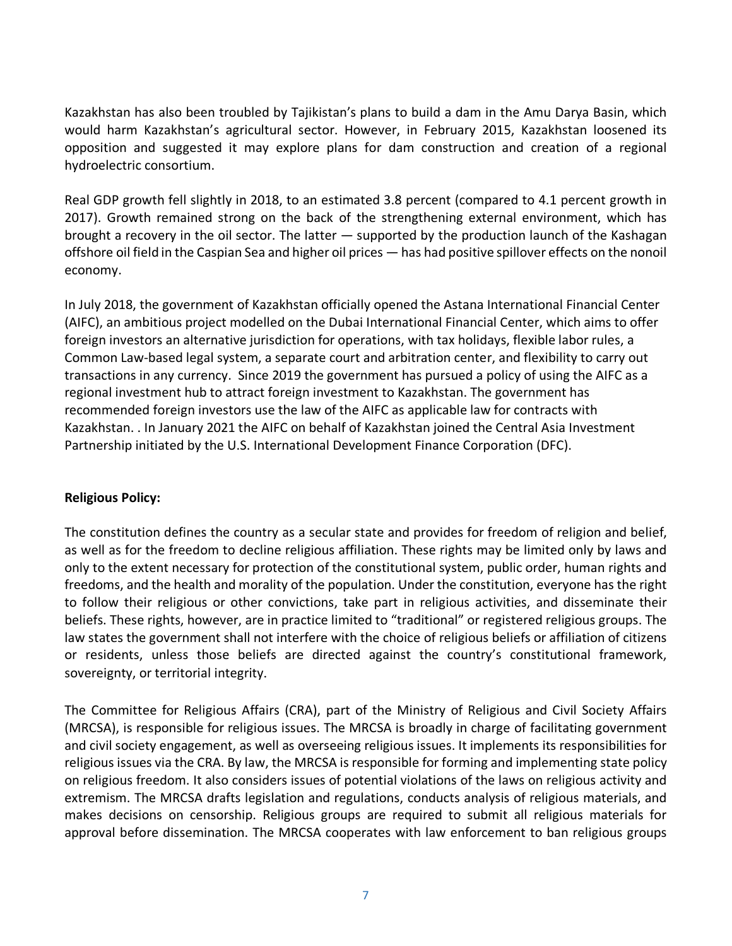Kazakhstan has also been troubled by Tajikistan's plans to build a dam in the Amu Darya Basin, which would harm Kazakhstan's agricultural sector. However, in February 2015, Kazakhstan loosened its opposition and suggested it may explore plans for dam construction and creation of a regional hydroelectric consortium.

Real GDP growth fell slightly in 2018, to an estimated 3.8 percent (compared to 4.1 percent growth in 2017). Growth remained strong on the back of the strengthening external environment, which has brought a recovery in the oil sector. The latter — supported by the production launch of the Kashagan offshore oil field in the Caspian Sea and higher oil prices — has had positive spillover effects on the nonoil economy.

In July 2018, the government of Kazakhstan officially opened the Astana International Financial Center (AIFC), an ambitious project modelled on the Dubai International Financial Center, which aims to offer foreign investors an alternative jurisdiction for operations, with tax holidays, flexible labor rules, a Common Law-based legal system, a separate court and arbitration center, and flexibility to carry out transactions in any currency. Since 2019 the government has pursued a policy of using the AIFC as a regional investment hub to attract foreign investment to Kazakhstan. The government has recommended foreign investors use the law of the AIFC as applicable law for contracts with Kazakhstan. . In January 2021 the AIFC on behalf of Kazakhstan joined the Central Asia Investment Partnership initiated by the U.S. International Development Finance Corporation (DFC).

#### **Religious Policy:**

The constitution defines the country as a secular state and provides for freedom of religion and belief, as well as for the freedom to decline religious affiliation. These rights may be limited only by laws and only to the extent necessary for protection of the constitutional system, public order, human rights and freedoms, and the health and morality of the population. Under the constitution, everyone has the right to follow their religious or other convictions, take part in religious activities, and disseminate their beliefs. These rights, however, are in practice limited to "traditional" or registered religious groups. The law states the government shall not interfere with the choice of religious beliefs or affiliation of citizens or residents, unless those beliefs are directed against the country's constitutional framework, sovereignty, or territorial integrity.

The Committee for Religious Affairs (CRA), part of the Ministry of Religious and Civil Society Affairs (MRCSA), is responsible for religious issues. The MRCSA is broadly in charge of facilitating government and civil society engagement, as well as overseeing religious issues. It implements its responsibilities for religious issues via the CRA. By law, the MRCSA is responsible for forming and implementing state policy on religious freedom. It also considers issues of potential violations of the laws on religious activity and extremism. The MRCSA drafts legislation and regulations, conducts analysis of religious materials, and makes decisions on censorship. Religious groups are required to submit all religious materials for approval before dissemination. The MRCSA cooperates with law enforcement to ban religious groups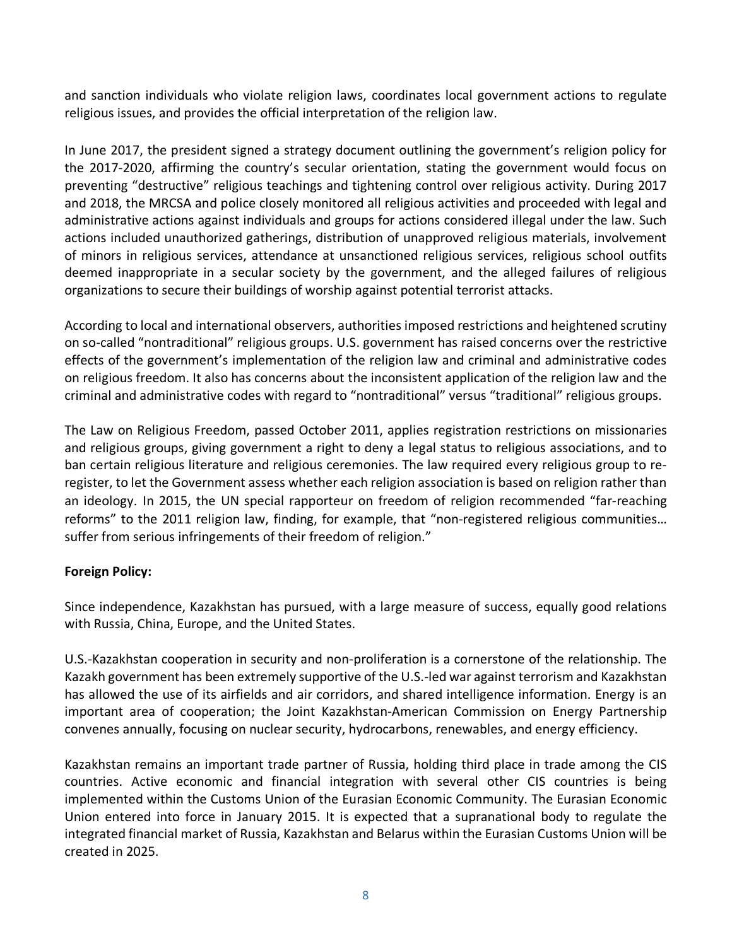and sanction individuals who violate religion laws, coordinates local government actions to regulate religious issues, and provides the official interpretation of the religion law.

In June 2017, the president signed a strategy document outlining the government's religion policy for the 2017-2020, affirming the country's secular orientation, stating the government would focus on preventing "destructive" religious teachings and tightening control over religious activity. During 2017 and 2018, the MRCSA and police closely monitored all religious activities and proceeded with legal and administrative actions against individuals and groups for actions considered illegal under the law. Such actions included unauthorized gatherings, distribution of unapproved religious materials, involvement of minors in religious services, attendance at unsanctioned religious services, religious school outfits deemed inappropriate in a secular society by the government, and the alleged failures of religious organizations to secure their buildings of worship against potential terrorist attacks.

According to local and international observers, authorities imposed restrictions and heightened scrutiny on so-called "nontraditional" religious groups. U.S. government has raised concerns over the restrictive effects of the government's implementation of the religion law and criminal and administrative codes on religious freedom. It also has concerns about the inconsistent application of the religion law and the criminal and administrative codes with regard to "nontraditional" versus "traditional" religious groups.

The Law on Religious Freedom, passed October 2011, applies registration restrictions on missionaries and religious groups, giving government a right to deny a legal status to religious associations, and to ban certain religious literature and religious ceremonies. The law required every religious group to reregister, to let the Government assess whether each religion association is based on religion rather than an ideology. In 2015, the UN special rapporteur on freedom of religion recommended "far-reaching reforms" to the 2011 religion law, finding, for example, that "non-registered religious communities… suffer from serious infringements of their freedom of religion."

## <span id="page-7-0"></span>**Foreign Policy:**

Since independence, Kazakhstan has pursued, with a large measure of success, equally good relations with Russia, China, Europe, and the United States.

U.S.-Kazakhstan cooperation in security and non-proliferation is a cornerstone of the relationship. The Kazakh government has been extremely supportive of the U.S.-led war against terrorism and Kazakhstan has allowed the use of its airfields and air corridors, and shared intelligence information. Energy is an important area of cooperation; the Joint Kazakhstan-American Commission on Energy Partnership convenes annually, focusing on nuclear security, hydrocarbons, renewables, and energy efficiency.

Kazakhstan remains an important trade partner of Russia, holding third place in trade among the CIS countries. Active economic and financial integration with several other CIS countries is being implemented within the Customs Union of the Eurasian Economic Community. The Eurasian Economic Union entered into force in January 2015. It is expected that a supranational body to regulate the integrated financial market of Russia, Kazakhstan and Belarus within the Eurasian Customs Union will be created in 2025.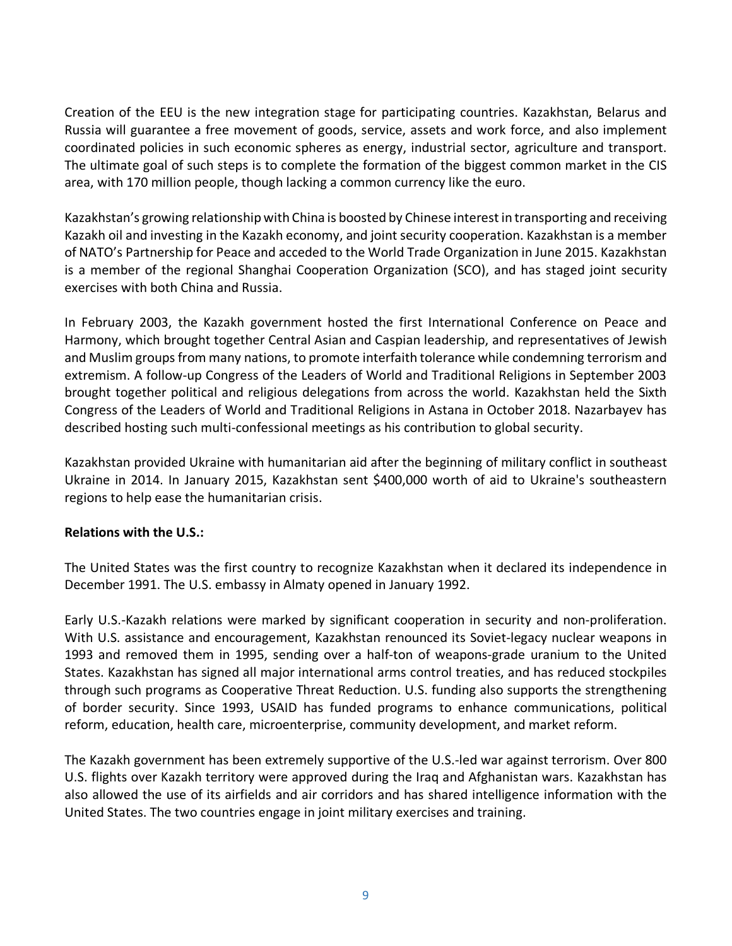Creation of the EEU is the new integration stage for participating countries. Kazakhstan, Belarus and Russia will guarantee a free movement of goods, service, assets and work force, and also implement coordinated policies in such economic spheres as energy, industrial sector, agriculture and transport. The ultimate goal of such steps is to complete the formation of the biggest common market in the CIS area, with 170 million people, though lacking a common currency like the euro.

Kazakhstan's growing relationship with China is boosted by Chinese interest in transporting and receiving Kazakh oil and investing in the Kazakh economy, and joint security cooperation. Kazakhstan is a member of NATO's Partnership for Peace and acceded to the World Trade Organization in June 2015. Kazakhstan is a member of the regional Shanghai Cooperation Organization (SCO), and has staged joint security exercises with both China and Russia.

In February 2003, the Kazakh government hosted the first International Conference on Peace and Harmony, which brought together Central Asian and Caspian leadership, and representatives of Jewish and Muslim groups from many nations, to promote interfaith tolerance while condemning terrorism and extremism. A follow-up Congress of the Leaders of World and Traditional Religions in September 2003 brought together political and religious delegations from across the world. Kazakhstan held the Sixth Congress of the Leaders of World and Traditional Religions in Astana in October 2018. Nazarbayev has described hosting such multi-confessional meetings as his contribution to global security.

Kazakhstan provided Ukraine with humanitarian aid after the beginning of military conflict in southeast Ukraine in 2014. In January 2015, Kazakhstan sent \$400,000 worth of aid to Ukraine's southeastern regions to help ease the humanitarian crisis.

## <span id="page-8-0"></span>**Relations with the U.S.:**

The United States was the first country to recognize Kazakhstan when it declared its independence in December 1991. The U.S. embassy in Almaty opened in January 1992.

Early U.S.-Kazakh relations were marked by significant cooperation in security and non-proliferation. With U.S. assistance and encouragement, Kazakhstan renounced its Soviet-legacy nuclear weapons in 1993 and removed them in 1995, sending over a half-ton of weapons-grade uranium to the United States. Kazakhstan has signed all major international arms control treaties, and has reduced stockpiles through such programs as Cooperative Threat Reduction. U.S. funding also supports the strengthening of border security. Since 1993, USAID has funded programs to enhance communications, political reform, education, health care, microenterprise, community development, and market reform.

The Kazakh government has been extremely supportive of the U.S.-led war against terrorism. Over 800 U.S. flights over Kazakh territory were approved during the Iraq and Afghanistan wars. Kazakhstan has also allowed the use of its airfields and air corridors and has shared intelligence information with the United States. The two countries engage in joint military exercises and training.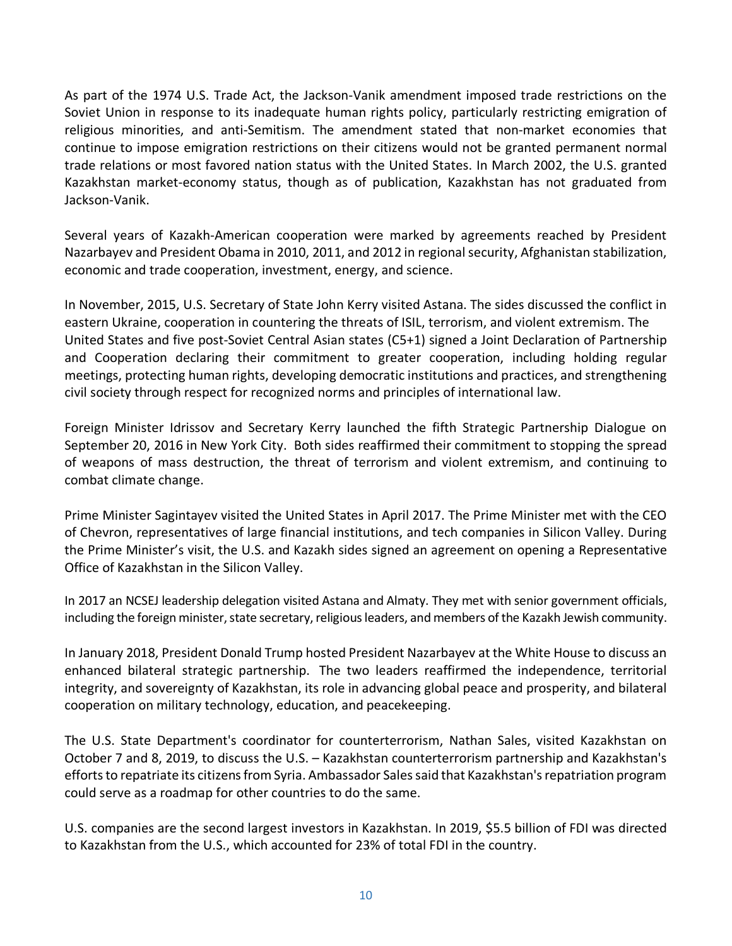As part of the 1974 U.S. Trade Act, the Jackson-Vanik amendment imposed trade restrictions on the Soviet Union in response to its inadequate human rights policy, particularly restricting emigration of religious minorities, and anti-Semitism. The amendment stated that non-market economies that continue to impose emigration restrictions on their citizens would not be granted permanent normal trade relations or most favored nation status with the United States. In March 2002, the U.S. granted Kazakhstan market-economy status, though as of publication, Kazakhstan has not graduated from Jackson-Vanik.

Several years of Kazakh-American cooperation were marked by agreements reached by President Nazarbayev and President Obama in 2010, 2011, and 2012 in regional security, Afghanistan stabilization, economic and trade cooperation, investment, energy, and science.

In November, 2015, U.S. Secretary of State John Kerry visited Astana. The sides discussed the conflict in eastern Ukraine, cooperation in countering the threats of ISIL, terrorism, and violent extremism. The United States and five post-Soviet Central Asian states (C5+1) signed a Joint Declaration of Partnership and Cooperation declaring their commitment to greater cooperation, including holding regular meetings, protecting human rights, developing democratic institutions and practices, and strengthening civil society through respect for recognized norms and principles of international law.

Foreign Minister Idrissov and Secretary Kerry launched the fifth Strategic Partnership Dialogue on September 20, 2016 in New York City. Both sides reaffirmed their commitment to stopping the spread of weapons of mass destruction, the threat of terrorism and violent extremism, and continuing to combat climate change.

Prime Minister Sagintayev visited the United States in April 2017. The Prime Minister met with the CEO of Chevron, representatives of large financial institutions, and tech companies in Silicon Valley. During the Prime Minister's visit, the U.S. and Kazakh sides signed an agreement on opening a Representative Office of Kazakhstan in the Silicon Valley.

In 2017 an NCSEJ leadership delegation visited Astana and Almaty. They met with senior government officials, including the foreign minister, state secretary, religious leaders, and members of the Kazakh Jewish community.

In January 2018, President Donald Trump hosted President Nazarbayev at the White House to discuss an enhanced bilateral strategic partnership. The two leaders reaffirmed the independence, territorial integrity, and sovereignty of Kazakhstan, its role in advancing global peace and prosperity, and bilateral cooperation on military technology, education, and peacekeeping.

The U.S. State Department's coordinator for counterterrorism, Nathan Sales, visited Kazakhstan on October 7 and 8, 2019, to discuss the U.S. – Kazakhstan counterterrorism partnership and Kazakhstan's efforts to repatriate its citizens from Syria. Ambassador Sales said that Kazakhstan's repatriation program could serve as a roadmap for other countries to do the same.

U.S. companies are the second largest investors in Kazakhstan. In 2019, \$5.5 billion of FDI was directed to Kazakhstan from the U.S., which accounted for 23% of total FDI in the country.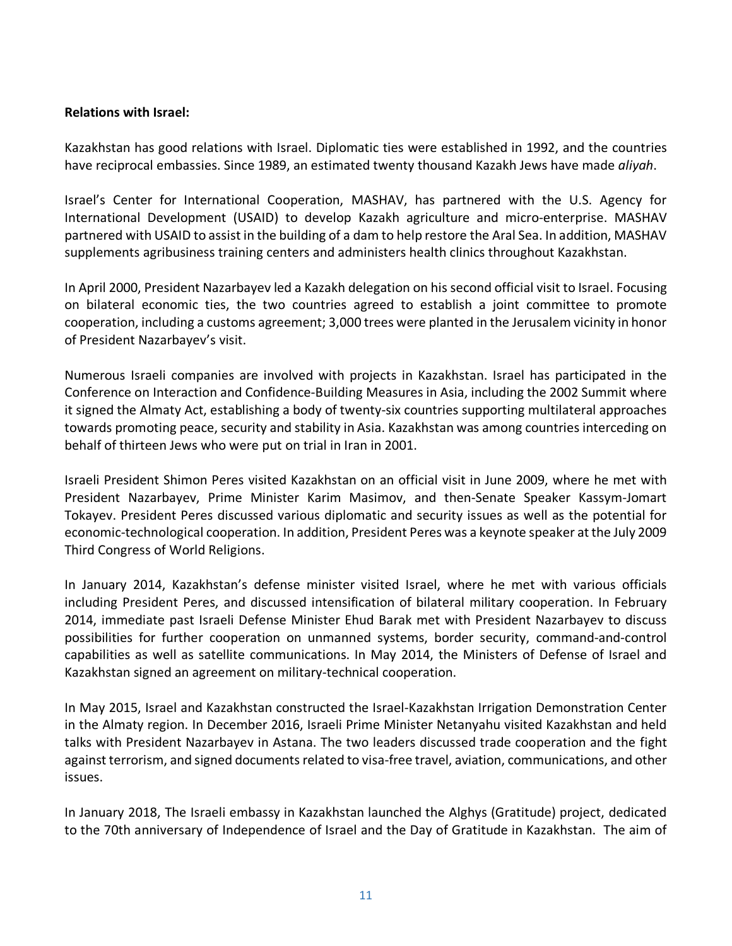#### **Relations with Israel:**

Kazakhstan has good relations with Israel. Diplomatic ties were established in 1992, and the countries have reciprocal embassies. Since 1989, an estimated twenty thousand Kazakh Jews have made *aliyah*.

Israel's Center for International Cooperation, MASHAV, has partnered with the U.S. Agency for International Development (USAID) to develop Kazakh agriculture and micro-enterprise. MASHAV partnered with USAID to assist in the building of a dam to help restore the Aral Sea. In addition, MASHAV supplements agribusiness training centers and administers health clinics throughout Kazakhstan.

In April 2000, President Nazarbayev led a Kazakh delegation on his second official visit to Israel. Focusing on bilateral economic ties, the two countries agreed to establish a joint committee to promote cooperation, including a customs agreement; 3,000 trees were planted in the Jerusalem vicinity in honor of President Nazarbayev's visit.

Numerous Israeli companies are involved with projects in Kazakhstan. Israel has participated in the Conference on Interaction and Confidence-Building Measures in Asia, including the 2002 Summit where it signed the Almaty Act, establishing a body of twenty-six countries supporting multilateral approaches towards promoting peace, security and stability in Asia. Kazakhstan was among countries interceding on behalf of thirteen Jews who were put on trial in Iran in 2001.

Israeli President Shimon Peres visited Kazakhstan on an official visit in June 2009, where he met with President Nazarbayev, Prime Minister Karim Masimov, and then-Senate Speaker Kassym-Jomart Tokayev. President Peres discussed various diplomatic and security issues as well as the potential for economic-technological cooperation. In addition, President Peres was a keynote speaker at the July 2009 Third Congress of World Religions.

In January 2014, Kazakhstan's defense minister visited Israel, where he met with various officials including President Peres, and discussed intensification of bilateral military cooperation. In February 2014, immediate past Israeli Defense Minister Ehud Barak met with President Nazarbayev to discuss possibilities for further cooperation on unmanned systems, border security, command-and-control capabilities as well as satellite communications. In May 2014, the Ministers of Defense of Israel and Kazakhstan signed an agreement on military-technical cooperation.

In May 2015, Israel and Kazakhstan constructed the Israel-Kazakhstan Irrigation Demonstration Center in the Almaty region. In December 2016, Israeli Prime Minister Netanyahu visited Kazakhstan and held talks with President Nazarbayev in Astana. The two leaders discussed trade cooperation and the fight against terrorism, and signed documents related to visa-free travel, aviation, communications, and other issues.

In January 2018, The Israeli embassy in Kazakhstan launched the Alghys (Gratitude) project, dedicated to the 70th anniversary of Independence of Israel and the Day of Gratitude in Kazakhstan. The aim of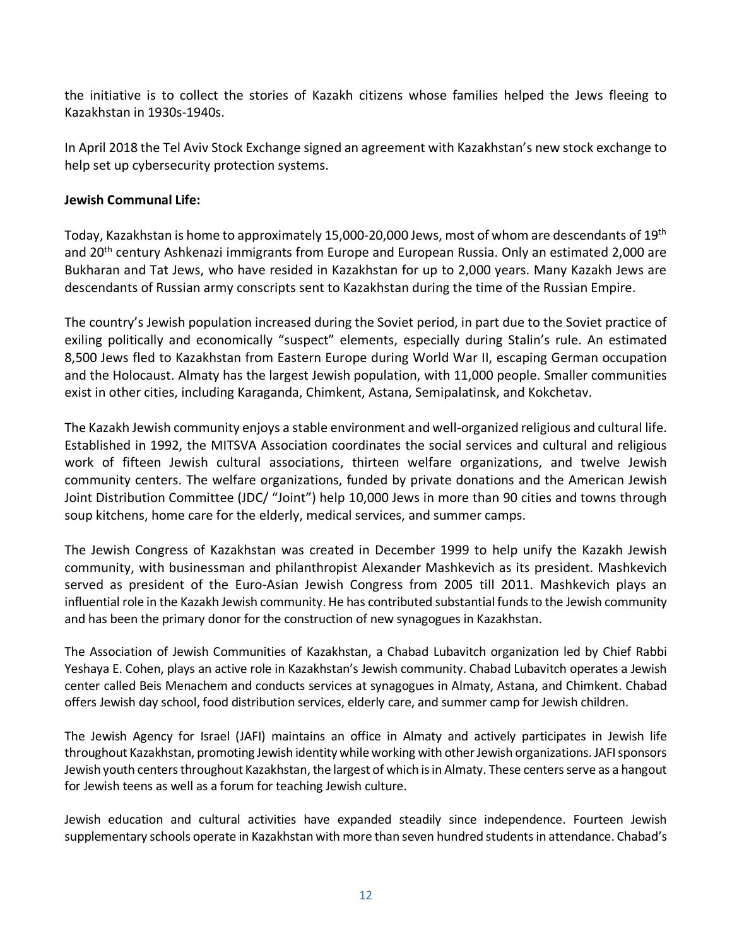the initiative is to collect the stories of Kazakh citizens whose families helped the Jews fleeing to Kazakhstan in 1930s-1940s.

In April 2018 the Tel Aviv Stock Exchange signed an agreement with Kazakhstan's new stock exchange to help set up cybersecurity protection systems.

#### <span id="page-11-0"></span>**Jewish Communal Life:**

Today, Kazakhstan is home to approximately 15,000-20,000 Jews, most of whom are descendants of 19th and 20<sup>th</sup> century Ashkenazi immigrants from Europe and European Russia. Only an estimated 2,000 are Bukharan and Tat Jews, who have resided in Kazakhstan for up to 2,000 years. Many Kazakh Jews are descendants of Russian army conscripts sent to Kazakhstan during the time of the Russian Empire.

The country's Jewish population increased during the Soviet period, in part due to the Soviet practice of exiling politically and economically "suspect" elements, especially during Stalin's rule. An estimated 8,500 Jews fled to Kazakhstan from Eastern Europe during World War II, escaping German occupation and the Holocaust. Almaty has the largest Jewish population, with 11,000 people. Smaller communities exist in other cities, including Karaganda, Chimkent, Astana, Semipalatinsk, and Kokchetav.

The Kazakh Jewish community enjoys a stable environment and well-organized religious and cultural life. Established in 1992, the MITSVA Association coordinates the social services and cultural and religious work of fifteen Jewish cultural associations, thirteen welfare organizations, and twelve Jewish community centers. The welfare organizations, funded by private donations and the American Jewish Joint Distribution Committee (JDC/ "Joint") help 10,000 Jews in more than 90 cities and towns through soup kitchens, home care for the elderly, medical services, and summer camps.

The Jewish Congress of Kazakhstan was created in December 1999 to help unify the Kazakh Jewish community, with businessman and philanthropist Alexander Mashkevich as its president. Mashkevich served as president of the Euro-Asian Jewish Congress from 2005 till 2011. Mashkevich plays an influential role in the Kazakh Jewish community. He has contributed substantial funds to the Jewish community and has been the primary donor for the construction of new synagogues in Kazakhstan.

The Association of Jewish Communities of Kazakhstan, a Chabad Lubavitch organization led by Chief Rabbi Yeshaya E. Cohen, plays an active role in Kazakhstan's Jewish community. Chabad Lubavitch operates a Jewish center called Beis Menachem and conducts services at synagogues in Almaty, Astana, and Chimkent. Chabad offers Jewish day school, food distribution services, elderly care, and summer camp for Jewish children.

The Jewish Agency for Israel (JAFI) maintains an office in Almaty and actively participates in Jewish life throughout Kazakhstan, promoting Jewish identity while working with other Jewish organizations. JAFI sponsors Jewish youth centers throughout Kazakhstan, the largest of which is in Almaty. These centers serve as a hangout for Jewish teens as well as a forum for teaching Jewish culture.

Jewish education and cultural activities have expanded steadily since independence. Fourteen Jewish supplementary schools operate in Kazakhstan with more than seven hundred students in attendance. Chabad's